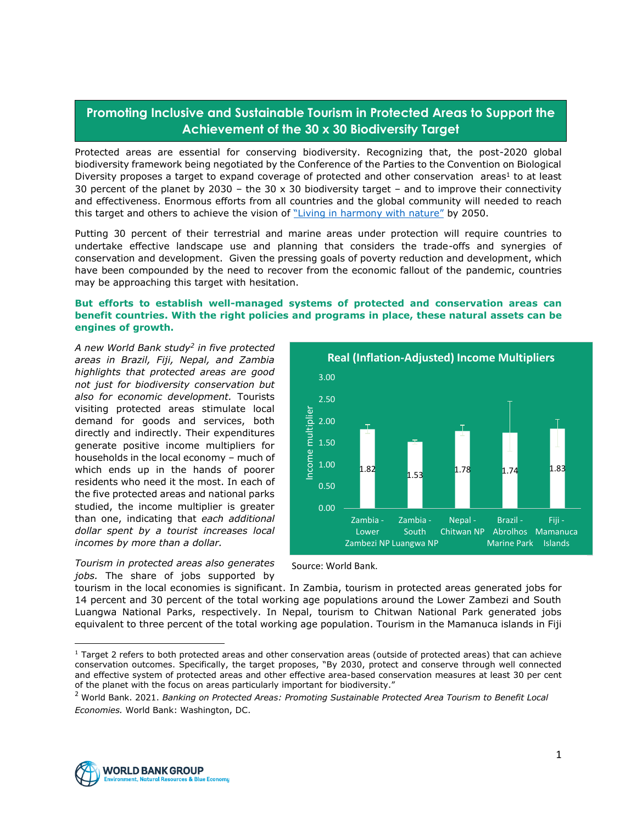## **Promoting Inclusive and Sustainable Tourism in Protected Areas to Support the Achievement of the 30 x 30 Biodiversity Target**

Protected areas are essential for conserving biodiversity. Recognizing that, the post-2020 global biodiversity framework being negotiated by the Conference of the Parties to the Convention on Biological Diversity proposes a target to expand coverage of protected and other conservation areas<sup>1</sup> to at least 30 percent of the planet by 2030 – the 30 x 30 biodiversity target – and to improve their connectivity and effectiveness. Enormous efforts from all countries and the global community will needed to reach this target and others to achieve the vision of ["Living in harmony with nature"](https://www.cbd.int/decision/cop/?id=12268) by 2050.

Putting 30 percent of their terrestrial and marine areas under protection will require countries to undertake effective landscape use and planning that considers the trade-offs and synergies of conservation and development. Given the pressing goals of poverty reduction and development, which have been compounded by the need to recover from the economic fallout of the pandemic, countries may be approaching this target with hesitation.

## **But efforts to establish well-managed systems of protected and conservation areas can benefit countries. With the right policies and programs in place, these natural assets can be engines of growth.**

*A new World Bank study<sup>2</sup> in five protected areas in Brazil, Fiji, Nepal, and Zambia highlights that protected areas are good not just for biodiversity conservation but also for economic development.* Tourists visiting protected areas stimulate local demand for goods and services, both directly and indirectly. Their expenditures generate positive income multipliers for households in the local economy – much of which ends up in the hands of poorer residents who need it the most. In each of the five protected areas and national parks studied, the income multiplier is greater than one, indicating that *each additional dollar spent by a tourist increases local incomes by more than a dollar.*

*Tourism in protected areas also generates jobs.* The share of jobs supported by





tourism in the local economies is significant. In Zambia, tourism in protected areas generated jobs for 14 percent and 30 percent of the total working age populations around the Lower Zambezi and South Luangwa National Parks, respectively. In Nepal, tourism to Chitwan National Park generated jobs equivalent to three percent of the total working age population. Tourism in the Mamanuca islands in Fiji



 $1$  Target 2 refers to both protected areas and other conservation areas (outside of protected areas) that can achieve conservation outcomes. Specifically, the target proposes, "By 2030, protect and conserve through well connected and effective system of protected areas and other effective area-based conservation measures at least 30 per cent of the planet with the focus on areas particularly important for biodiversity."

<sup>2</sup> World Bank. 2021. *Banking on Protected Areas: Promoting Sustainable Protected Area Tourism to Benefit Local Economies.* World Bank: Washington, DC.